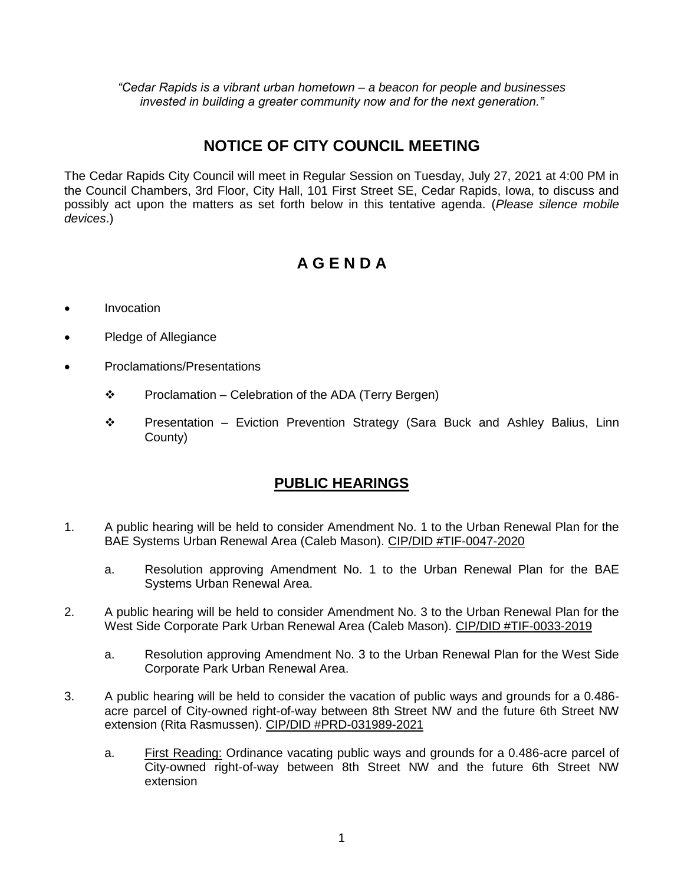*"Cedar Rapids is a vibrant urban hometown – a beacon for people and businesses invested in building a greater community now and for the next generation."*

## **NOTICE OF CITY COUNCIL MEETING**

The Cedar Rapids City Council will meet in Regular Session on Tuesday, July 27, 2021 at 4:00 PM in the Council Chambers, 3rd Floor, City Hall, 101 First Street SE, Cedar Rapids, Iowa, to discuss and possibly act upon the matters as set forth below in this tentative agenda. (*Please silence mobile devices*.)

# **A G E N D A**

- Invocation
- Pledge of Allegiance
- Proclamations/Presentations
	- $\div$  Proclamation Celebration of the ADA (Terry Bergen)
	- Presentation Eviction Prevention Strategy (Sara Buck and Ashley Balius, Linn County)

#### **PUBLIC HEARINGS**

- 1. A public hearing will be held to consider Amendment No. 1 to the Urban Renewal Plan for the BAE Systems Urban Renewal Area (Caleb Mason). CIP/DID #TIF-0047-2020
	- a. Resolution approving Amendment No. 1 to the Urban Renewal Plan for the BAE Systems Urban Renewal Area.
- 2. A public hearing will be held to consider Amendment No. 3 to the Urban Renewal Plan for the West Side Corporate Park Urban Renewal Area (Caleb Mason). CIP/DID #TIF-0033-2019
	- a. Resolution approving Amendment No. 3 to the Urban Renewal Plan for the West Side Corporate Park Urban Renewal Area.
- 3. A public hearing will be held to consider the vacation of public ways and grounds for a 0.486 acre parcel of City-owned right-of-way between 8th Street NW and the future 6th Street NW extension (Rita Rasmussen). CIP/DID #PRD-031989-2021
	- a. First Reading: Ordinance vacating public ways and grounds for a 0.486-acre parcel of City-owned right-of-way between 8th Street NW and the future 6th Street NW extension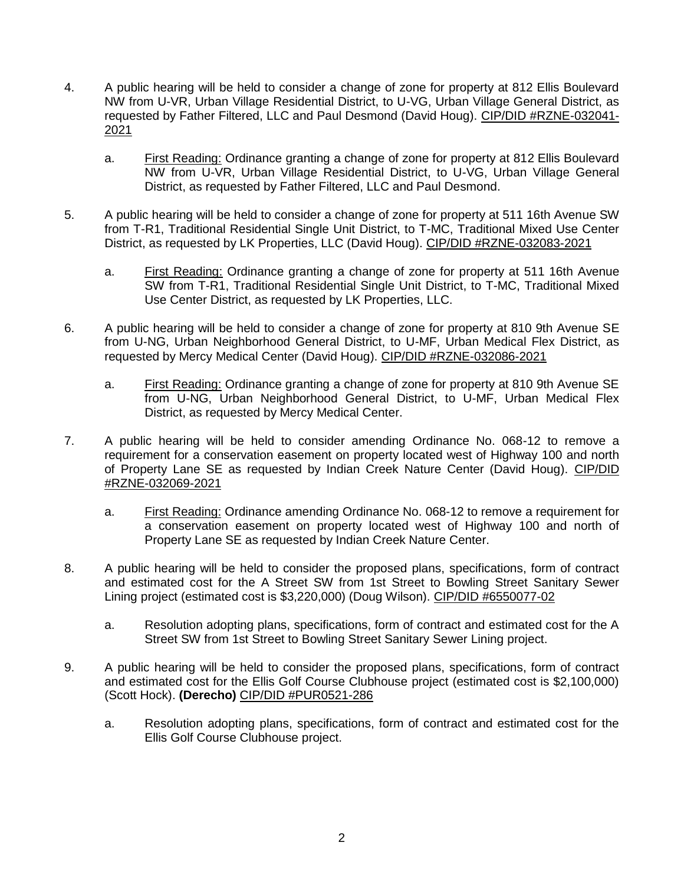- 4. A public hearing will be held to consider a change of zone for property at 812 Ellis Boulevard NW from U-VR, Urban Village Residential District, to U-VG, Urban Village General District, as requested by Father Filtered, LLC and Paul Desmond (David Houg). CIP/DID #RZNE-032041- 2021
	- a. First Reading: Ordinance granting a change of zone for property at 812 Ellis Boulevard NW from U-VR, Urban Village Residential District, to U-VG, Urban Village General District, as requested by Father Filtered, LLC and Paul Desmond.
- 5. A public hearing will be held to consider a change of zone for property at 511 16th Avenue SW from T-R1, Traditional Residential Single Unit District, to T-MC, Traditional Mixed Use Center District, as requested by LK Properties, LLC (David Houg). CIP/DID #RZNE-032083-2021
	- a. First Reading: Ordinance granting a change of zone for property at 511 16th Avenue SW from T-R1, Traditional Residential Single Unit District, to T-MC, Traditional Mixed Use Center District, as requested by LK Properties, LLC.
- 6. A public hearing will be held to consider a change of zone for property at 810 9th Avenue SE from U-NG, Urban Neighborhood General District, to U-MF, Urban Medical Flex District, as requested by Mercy Medical Center (David Houg). CIP/DID #RZNE-032086-2021
	- a. First Reading: Ordinance granting a change of zone for property at 810 9th Avenue SE from U-NG, Urban Neighborhood General District, to U-MF, Urban Medical Flex District, as requested by Mercy Medical Center.
- 7. A public hearing will be held to consider amending Ordinance No. 068-12 to remove a requirement for a conservation easement on property located west of Highway 100 and north of Property Lane SE as requested by Indian Creek Nature Center (David Houg). CIP/DID #RZNE-032069-2021
	- a. First Reading: Ordinance amending Ordinance No. 068-12 to remove a requirement for a conservation easement on property located west of Highway 100 and north of Property Lane SE as requested by Indian Creek Nature Center.
- 8. A public hearing will be held to consider the proposed plans, specifications, form of contract and estimated cost for the A Street SW from 1st Street to Bowling Street Sanitary Sewer Lining project (estimated cost is \$3,220,000) (Doug Wilson). CIP/DID #6550077-02
	- a. Resolution adopting plans, specifications, form of contract and estimated cost for the A Street SW from 1st Street to Bowling Street Sanitary Sewer Lining project.
- 9. A public hearing will be held to consider the proposed plans, specifications, form of contract and estimated cost for the Ellis Golf Course Clubhouse project (estimated cost is \$2,100,000) (Scott Hock). **(Derecho)** CIP/DID #PUR0521-286
	- a. Resolution adopting plans, specifications, form of contract and estimated cost for the Ellis Golf Course Clubhouse project.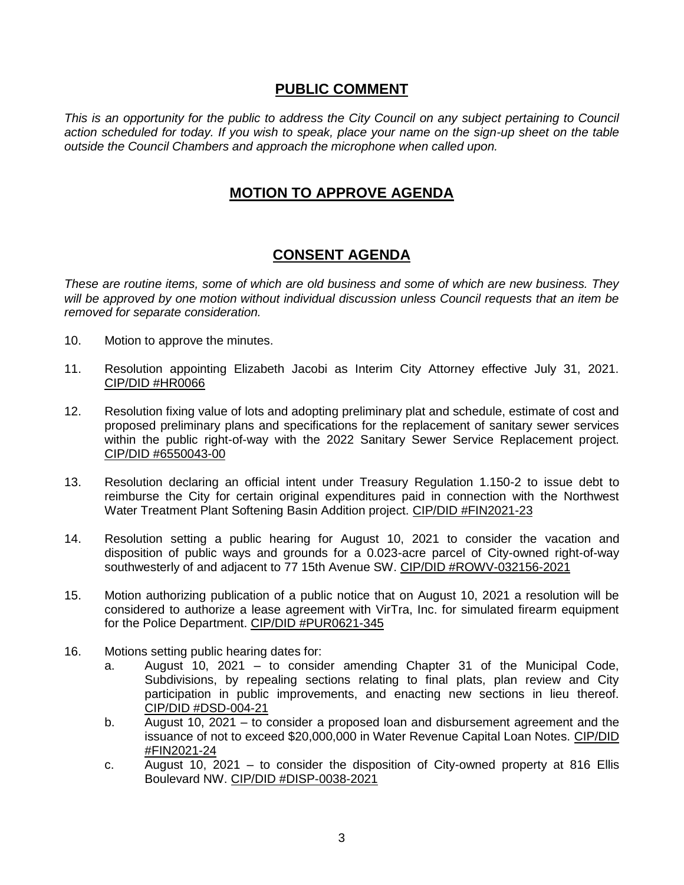#### **PUBLIC COMMENT**

*This is an opportunity for the public to address the City Council on any subject pertaining to Council action scheduled for today. If you wish to speak, place your name on the sign-up sheet on the table outside the Council Chambers and approach the microphone when called upon.*

### **MOTION TO APPROVE AGENDA**

#### **CONSENT AGENDA**

*These are routine items, some of which are old business and some of which are new business. They will be approved by one motion without individual discussion unless Council requests that an item be removed for separate consideration.*

- 10. Motion to approve the minutes.
- 11. Resolution appointing Elizabeth Jacobi as Interim City Attorney effective July 31, 2021. CIP/DID #HR0066
- 12. Resolution fixing value of lots and adopting preliminary plat and schedule, estimate of cost and proposed preliminary plans and specifications for the replacement of sanitary sewer services within the public right-of-way with the 2022 Sanitary Sewer Service Replacement project. CIP/DID #6550043-00
- 13. Resolution declaring an official intent under Treasury Regulation 1.150-2 to issue debt to reimburse the City for certain original expenditures paid in connection with the Northwest Water Treatment Plant Softening Basin Addition project. CIP/DID #FIN2021-23
- 14. Resolution setting a public hearing for August 10, 2021 to consider the vacation and disposition of public ways and grounds for a 0.023-acre parcel of City-owned right-of-way southwesterly of and adjacent to 77 15th Avenue SW. CIP/DID #ROWV-032156-2021
- 15. Motion authorizing publication of a public notice that on August 10, 2021 a resolution will be considered to authorize a lease agreement with VirTra, Inc. for simulated firearm equipment for the Police Department. CIP/DID #PUR0621-345
- 16. Motions setting public hearing dates for:
	- a. August 10, 2021 to consider amending Chapter 31 of the Municipal Code, Subdivisions, by repealing sections relating to final plats, plan review and City participation in public improvements, and enacting new sections in lieu thereof. CIP/DID #DSD-004-21
	- b. August 10, 2021 to consider a proposed loan and disbursement agreement and the issuance of not to exceed \$20,000,000 in Water Revenue Capital Loan Notes. CIP/DID #FIN2021-24
	- c. August 10, 2021 to consider the disposition of City-owned property at 816 Ellis Boulevard NW. CIP/DID #DISP-0038-2021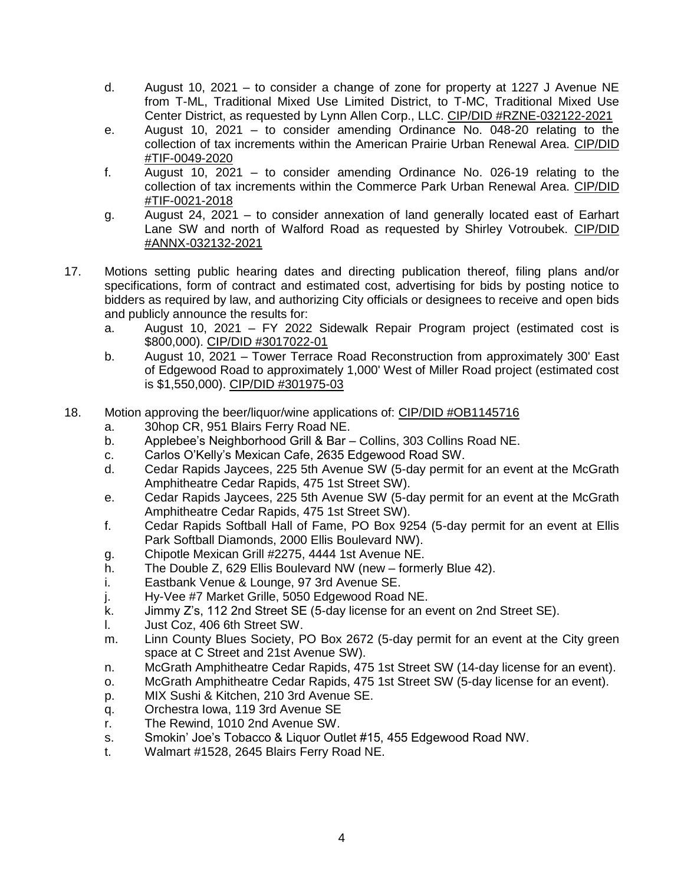- d. August 10, 2021 to consider a change of zone for property at 1227 J Avenue NE from T-ML, Traditional Mixed Use Limited District, to T-MC, Traditional Mixed Use Center District, as requested by Lynn Allen Corp., LLC. CIP/DID #RZNE-032122-2021
- e. August 10, 2021 to consider amending Ordinance No. 048-20 relating to the collection of tax increments within the American Prairie Urban Renewal Area. CIP/DID #TIF-0049-2020
- f. August 10, 2021 to consider amending Ordinance No. 026-19 relating to the collection of tax increments within the Commerce Park Urban Renewal Area. CIP/DID #TIF-0021-2018
- g. August 24, 2021 to consider annexation of land generally located east of Earhart Lane SW and north of Walford Road as requested by Shirley Votroubek. CIP/DID #ANNX-032132-2021
- 17. Motions setting public hearing dates and directing publication thereof, filing plans and/or specifications, form of contract and estimated cost, advertising for bids by posting notice to bidders as required by law, and authorizing City officials or designees to receive and open bids and publicly announce the results for:
	- a. August 10, 2021 FY 2022 Sidewalk Repair Program project (estimated cost is \$800,000). CIP/DID #3017022-01
	- b. August 10, 2021 Tower Terrace Road Reconstruction from approximately 300' East of Edgewood Road to approximately 1,000' West of Miller Road project (estimated cost is \$1,550,000). CIP/DID #301975-03
- 18. Motion approving the beer/liquor/wine applications of: CIP/DID #OB1145716
	- a. 30hop CR, 951 Blairs Ferry Road NE.
	- b. Applebee's Neighborhood Grill & Bar Collins, 303 Collins Road NE.
	- c. Carlos O'Kelly's Mexican Cafe, 2635 Edgewood Road SW.
	- d. Cedar Rapids Jaycees, 225 5th Avenue SW (5-day permit for an event at the McGrath Amphitheatre Cedar Rapids, 475 1st Street SW).
	- e. Cedar Rapids Jaycees, 225 5th Avenue SW (5-day permit for an event at the McGrath Amphitheatre Cedar Rapids, 475 1st Street SW).
	- f. Cedar Rapids Softball Hall of Fame, PO Box 9254 (5-day permit for an event at Ellis Park Softball Diamonds, 2000 Ellis Boulevard NW).
	- g. Chipotle Mexican Grill #2275, 4444 1st Avenue NE.
	- h. The Double Z, 629 Ellis Boulevard NW (new formerly Blue 42).
	- i. Eastbank Venue & Lounge, 97 3rd Avenue SE.
	- j. Hy-Vee #7 Market Grille, 5050 Edgewood Road NE.
	- k. Jimmy Z's, 112 2nd Street SE (5-day license for an event on 2nd Street SE).
	- l. Just Coz, 406 6th Street SW.
	- m. Linn County Blues Society, PO Box 2672 (5-day permit for an event at the City green space at C Street and 21st Avenue SW).
	- n. McGrath Amphitheatre Cedar Rapids, 475 1st Street SW (14-day license for an event).
	- o. McGrath Amphitheatre Cedar Rapids, 475 1st Street SW (5-day license for an event).
	- p. MIX Sushi & Kitchen, 210 3rd Avenue SE.
	- q. Orchestra Iowa, 119 3rd Avenue SE
	- r. The Rewind, 1010 2nd Avenue SW.
	- s. Smokin' Joe's Tobacco & Liquor Outlet #15, 455 Edgewood Road NW.
	- t. Walmart #1528, 2645 Blairs Ferry Road NE.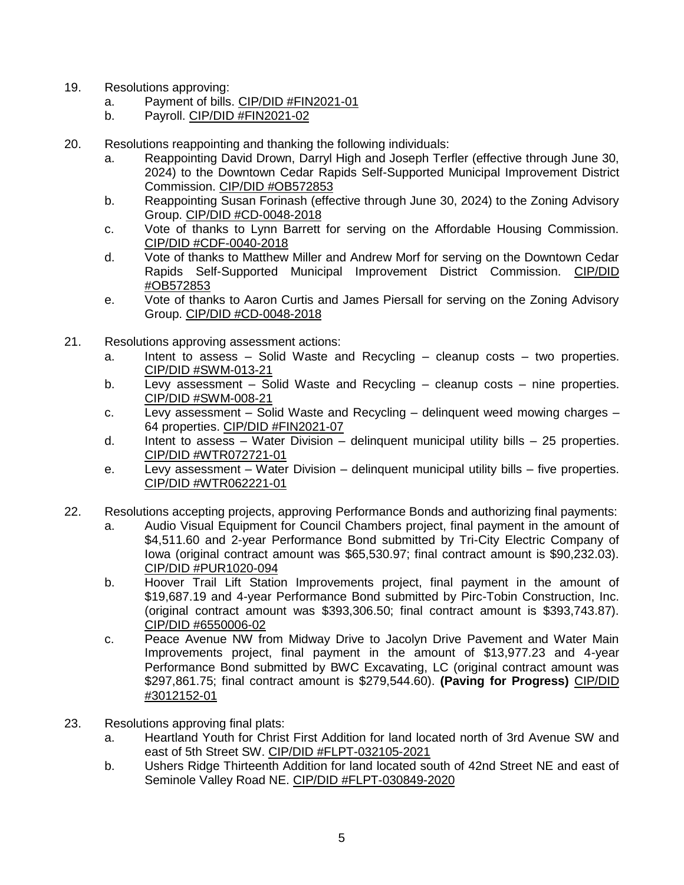- 19. Resolutions approving:
	- a. Payment of bills. CIP/DID #FIN2021-01
	- b. Payroll. CIP/DID #FIN2021-02
- 20. Resolutions reappointing and thanking the following individuals:
	- a. Reappointing David Drown, Darryl High and Joseph Terfler (effective through June 30, 2024) to the Downtown Cedar Rapids Self-Supported Municipal Improvement District Commission. CIP/DID #OB572853
	- b. Reappointing Susan Forinash (effective through June 30, 2024) to the Zoning Advisory Group. CIP/DID #CD-0048-2018
	- c. Vote of thanks to Lynn Barrett for serving on the Affordable Housing Commission. CIP/DID #CDF-0040-2018
	- d. Vote of thanks to Matthew Miller and Andrew Morf for serving on the Downtown Cedar Rapids Self-Supported Municipal Improvement District Commission. CIP/DID #OB572853
	- e. Vote of thanks to Aaron Curtis and James Piersall for serving on the Zoning Advisory Group. CIP/DID #CD-0048-2018
- 21. Resolutions approving assessment actions:
	- a. Intent to assess Solid Waste and Recycling cleanup costs two properties. CIP/DID #SWM-013-21
	- b. Levy assessment Solid Waste and Recycling cleanup costs nine properties. CIP/DID #SWM-008-21
	- c. Levy assessment Solid Waste and Recycling delinquent weed mowing charges 64 properties. CIP/DID #FIN2021-07
	- d. Intent to assess Water Division delinguent municipal utility bills 25 properties. CIP/DID #WTR072721-01
	- e. Levy assessment Water Division delinquent municipal utility bills five properties. CIP/DID #WTR062221-01
- 22. Resolutions accepting projects, approving Performance Bonds and authorizing final payments:
	- a. Audio Visual Equipment for Council Chambers project, final payment in the amount of \$4.511.60 and 2-year Performance Bond submitted by Tri-City Electric Company of Iowa (original contract amount was \$65,530.97; final contract amount is \$90,232.03). CIP/DID #PUR1020-094
	- b. Hoover Trail Lift Station Improvements project, final payment in the amount of \$19,687.19 and 4-year Performance Bond submitted by Pirc-Tobin Construction, Inc. (original contract amount was \$393,306.50; final contract amount is \$393,743.87). CIP/DID #6550006-02
	- c. Peace Avenue NW from Midway Drive to Jacolyn Drive Pavement and Water Main Improvements project, final payment in the amount of \$13,977.23 and 4-year Performance Bond submitted by BWC Excavating, LC (original contract amount was \$297,861.75; final contract amount is \$279,544.60). **(Paving for Progress)** CIP/DID #3012152-01
- 23. Resolutions approving final plats:
	- a. Heartland Youth for Christ First Addition for land located north of 3rd Avenue SW and east of 5th Street SW. CIP/DID #FLPT-032105-2021
	- b. Ushers Ridge Thirteenth Addition for land located south of 42nd Street NE and east of Seminole Valley Road NE. CIP/DID #FLPT-030849-2020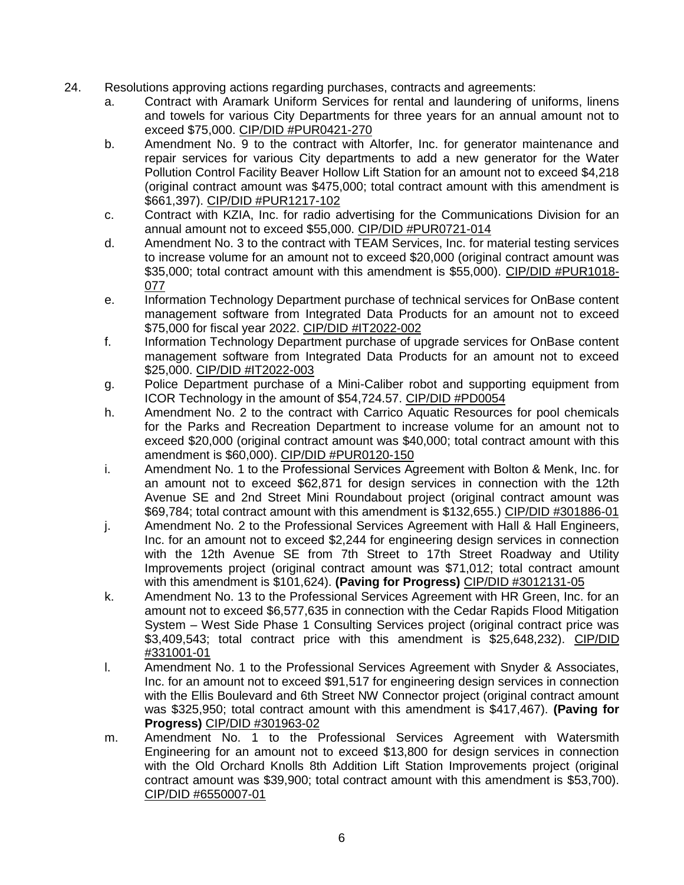- 24. Resolutions approving actions regarding purchases, contracts and agreements:
	- a. Contract with Aramark Uniform Services for rental and laundering of uniforms, linens and towels for various City Departments for three years for an annual amount not to exceed \$75,000. CIP/DID #PUR0421-270
	- b. Amendment No. 9 to the contract with Altorfer, Inc. for generator maintenance and repair services for various City departments to add a new generator for the Water Pollution Control Facility Beaver Hollow Lift Station for an amount not to exceed \$4,218 (original contract amount was \$475,000; total contract amount with this amendment is \$661,397). CIP/DID #PUR1217-102
	- c. Contract with KZIA, Inc. for radio advertising for the Communications Division for an annual amount not to exceed \$55,000. CIP/DID #PUR0721-014
	- d. Amendment No. 3 to the contract with TEAM Services, Inc. for material testing services to increase volume for an amount not to exceed \$20,000 (original contract amount was \$35,000; total contract amount with this amendment is \$55,000). CIP/DID #PUR1018- 077
	- e. Information Technology Department purchase of technical services for OnBase content management software from Integrated Data Products for an amount not to exceed \$75,000 for fiscal year 2022. CIP/DID #IT2022-002
	- f. Information Technology Department purchase of upgrade services for OnBase content management software from Integrated Data Products for an amount not to exceed \$25,000. CIP/DID #IT2022-003
	- g. Police Department purchase of a Mini-Caliber robot and supporting equipment from ICOR Technology in the amount of \$54,724.57. CIP/DID #PD0054
	- h. Amendment No. 2 to the contract with Carrico Aquatic Resources for pool chemicals for the Parks and Recreation Department to increase volume for an amount not to exceed \$20,000 (original contract amount was \$40,000; total contract amount with this amendment is \$60,000). CIP/DID #PUR0120-150
	- i. Amendment No. 1 to the Professional Services Agreement with Bolton & Menk, Inc. for an amount not to exceed \$62,871 for design services in connection with the 12th Avenue SE and 2nd Street Mini Roundabout project (original contract amount was \$69,784; total contract amount with this amendment is \$132,655.) CIP/DID #301886-01
	- j. Amendment No. 2 to the Professional Services Agreement with Hall & Hall Engineers, Inc. for an amount not to exceed \$2,244 for engineering design services in connection with the 12th Avenue SE from 7th Street to 17th Street Roadway and Utility Improvements project (original contract amount was \$71,012; total contract amount with this amendment is \$101,624). **(Paving for Progress)** CIP/DID #3012131-05
	- k. Amendment No. 13 to the Professional Services Agreement with HR Green, Inc. for an amount not to exceed \$6,577,635 in connection with the Cedar Rapids Flood Mitigation System – West Side Phase 1 Consulting Services project (original contract price was \$3,409,543; total contract price with this amendment is \$25,648,232). CIP/DID #331001-01
	- l. Amendment No. 1 to the Professional Services Agreement with Snyder & Associates, Inc. for an amount not to exceed \$91,517 for engineering design services in connection with the Ellis Boulevard and 6th Street NW Connector project (original contract amount was \$325,950; total contract amount with this amendment is \$417,467). **(Paving for Progress)** CIP/DID #301963-02
	- m. Amendment No. 1 to the Professional Services Agreement with Watersmith Engineering for an amount not to exceed \$13,800 for design services in connection with the Old Orchard Knolls 8th Addition Lift Station Improvements project (original contract amount was \$39,900; total contract amount with this amendment is \$53,700). CIP/DID #6550007-01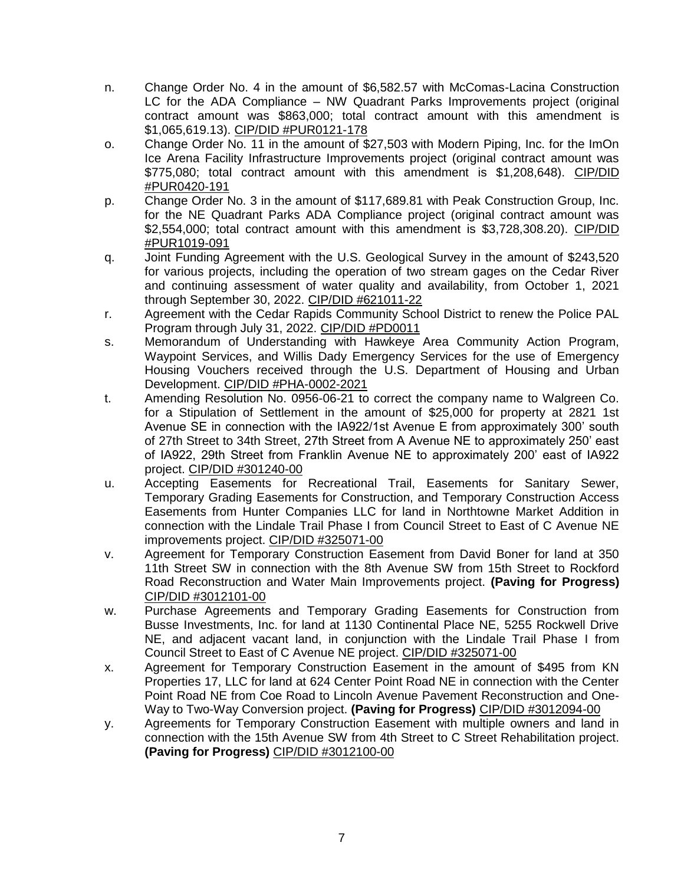- n. Change Order No. 4 in the amount of \$6,582.57 with McComas-Lacina Construction LC for the ADA Compliance – NW Quadrant Parks Improvements project (original contract amount was \$863,000; total contract amount with this amendment is \$1,065,619.13). CIP/DID #PUR0121-178
- o. Change Order No. 11 in the amount of \$27,503 with Modern Piping, Inc. for the ImOn Ice Arena Facility Infrastructure Improvements project (original contract amount was \$775,080; total contract amount with this amendment is \$1,208,648). CIP/DID #PUR0420-191
- p. Change Order No. 3 in the amount of \$117,689.81 with Peak Construction Group, Inc. for the NE Quadrant Parks ADA Compliance project (original contract amount was \$2,554,000; total contract amount with this amendment is \$3,728,308.20). CIP/DID #PUR1019-091
- q. Joint Funding Agreement with the U.S. Geological Survey in the amount of \$243,520 for various projects, including the operation of two stream gages on the Cedar River and continuing assessment of water quality and availability, from October 1, 2021 through September 30, 2022. CIP/DID #621011-22
- r. Agreement with the Cedar Rapids Community School District to renew the Police PAL Program through July 31, 2022. CIP/DID #PD0011
- s. Memorandum of Understanding with Hawkeye Area Community Action Program, Waypoint Services, and Willis Dady Emergency Services for the use of Emergency Housing Vouchers received through the U.S. Department of Housing and Urban Development. CIP/DID #PHA-0002-2021
- t. Amending Resolution No. 0956-06-21 to correct the company name to Walgreen Co. for a Stipulation of Settlement in the amount of \$25,000 for property at 2821 1st Avenue SE in connection with the IA922/1st Avenue E from approximately 300' south of 27th Street to 34th Street, 27th Street from A Avenue NE to approximately 250' east of IA922, 29th Street from Franklin Avenue NE to approximately 200' east of IA922 project. CIP/DID #301240-00
- u. Accepting Easements for Recreational Trail, Easements for Sanitary Sewer, Temporary Grading Easements for Construction, and Temporary Construction Access Easements from Hunter Companies LLC for land in Northtowne Market Addition in connection with the Lindale Trail Phase I from Council Street to East of C Avenue NE improvements project. CIP/DID #325071-00
- v. Agreement for Temporary Construction Easement from David Boner for land at 350 11th Street SW in connection with the 8th Avenue SW from 15th Street to Rockford Road Reconstruction and Water Main Improvements project. **(Paving for Progress)** CIP/DID #3012101-00
- w. Purchase Agreements and Temporary Grading Easements for Construction from Busse Investments, Inc. for land at 1130 Continental Place NE, 5255 Rockwell Drive NE, and adjacent vacant land, in conjunction with the Lindale Trail Phase I from Council Street to East of C Avenue NE project. CIP/DID #325071-00
- x. Agreement for Temporary Construction Easement in the amount of \$495 from KN Properties 17, LLC for land at 624 Center Point Road NE in connection with the Center Point Road NE from Coe Road to Lincoln Avenue Pavement Reconstruction and One-Way to Two-Way Conversion project. **(Paving for Progress)** CIP/DID #3012094-00
- y. Agreements for Temporary Construction Easement with multiple owners and land in connection with the 15th Avenue SW from 4th Street to C Street Rehabilitation project. **(Paving for Progress)** CIP/DID #3012100-00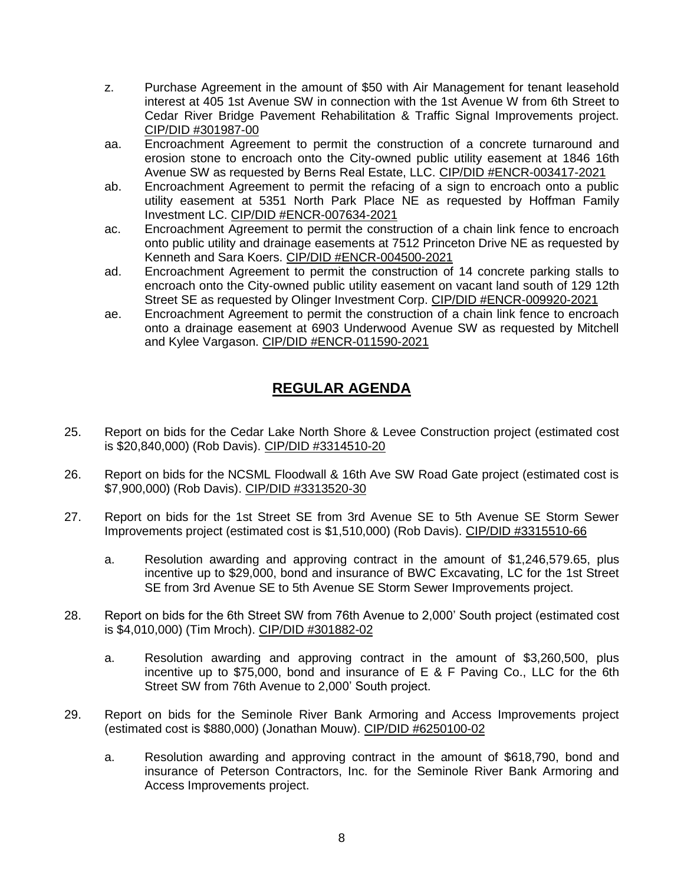- z. Purchase Agreement in the amount of \$50 with Air Management for tenant leasehold interest at 405 1st Avenue SW in connection with the 1st Avenue W from 6th Street to Cedar River Bridge Pavement Rehabilitation & Traffic Signal Improvements project. CIP/DID #301987-00
- aa. Encroachment Agreement to permit the construction of a concrete turnaround and erosion stone to encroach onto the City-owned public utility easement at 1846 16th Avenue SW as requested by Berns Real Estate, LLC. CIP/DID #ENCR-003417-2021
- ab. Encroachment Agreement to permit the refacing of a sign to encroach onto a public utility easement at 5351 North Park Place NE as requested by Hoffman Family Investment LC. CIP/DID #ENCR-007634-2021
- ac. Encroachment Agreement to permit the construction of a chain link fence to encroach onto public utility and drainage easements at 7512 Princeton Drive NE as requested by Kenneth and Sara Koers. CIP/DID #ENCR-004500-2021
- ad. Encroachment Agreement to permit the construction of 14 concrete parking stalls to encroach onto the City-owned public utility easement on vacant land south of 129 12th Street SE as requested by Olinger Investment Corp. CIP/DID #ENCR-009920-2021
- ae. Encroachment Agreement to permit the construction of a chain link fence to encroach onto a drainage easement at 6903 Underwood Avenue SW as requested by Mitchell and Kylee Vargason. CIP/DID #ENCR-011590-2021

## **REGULAR AGENDA**

- 25. Report on bids for the Cedar Lake North Shore & Levee Construction project (estimated cost is \$20,840,000) (Rob Davis). CIP/DID #3314510-20
- 26. Report on bids for the NCSML Floodwall & 16th Ave SW Road Gate project (estimated cost is \$7,900,000) (Rob Davis). CIP/DID #3313520-30
- 27. Report on bids for the 1st Street SE from 3rd Avenue SE to 5th Avenue SE Storm Sewer Improvements project (estimated cost is \$1,510,000) (Rob Davis). CIP/DID #3315510-66
	- a. Resolution awarding and approving contract in the amount of \$1,246,579.65, plus incentive up to \$29,000, bond and insurance of BWC Excavating, LC for the 1st Street SE from 3rd Avenue SE to 5th Avenue SE Storm Sewer Improvements project.
- 28. Report on bids for the 6th Street SW from 76th Avenue to 2,000' South project (estimated cost is \$4,010,000) (Tim Mroch). CIP/DID #301882-02
	- a. Resolution awarding and approving contract in the amount of \$3,260,500, plus incentive up to \$75,000, bond and insurance of E & F Paving Co., LLC for the 6th Street SW from 76th Avenue to 2,000' South project.
- 29. Report on bids for the Seminole River Bank Armoring and Access Improvements project (estimated cost is \$880,000) (Jonathan Mouw). CIP/DID #6250100-02
	- a. Resolution awarding and approving contract in the amount of \$618,790, bond and insurance of Peterson Contractors, Inc. for the Seminole River Bank Armoring and Access Improvements project.